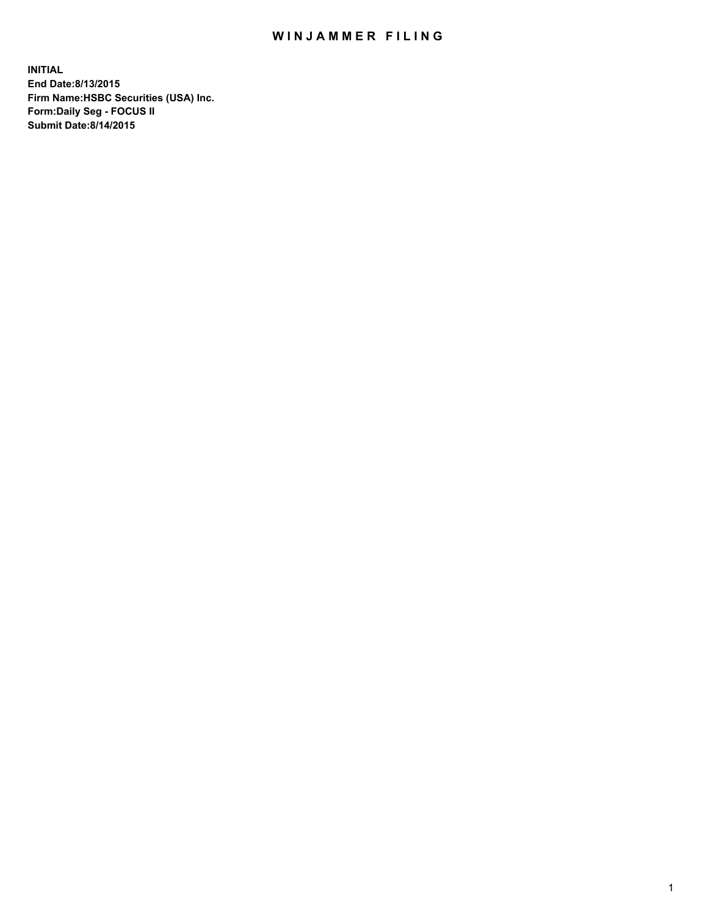## WIN JAMMER FILING

**INITIAL End Date:8/13/2015 Firm Name:HSBC Securities (USA) Inc. Form:Daily Seg - FOCUS II Submit Date:8/14/2015**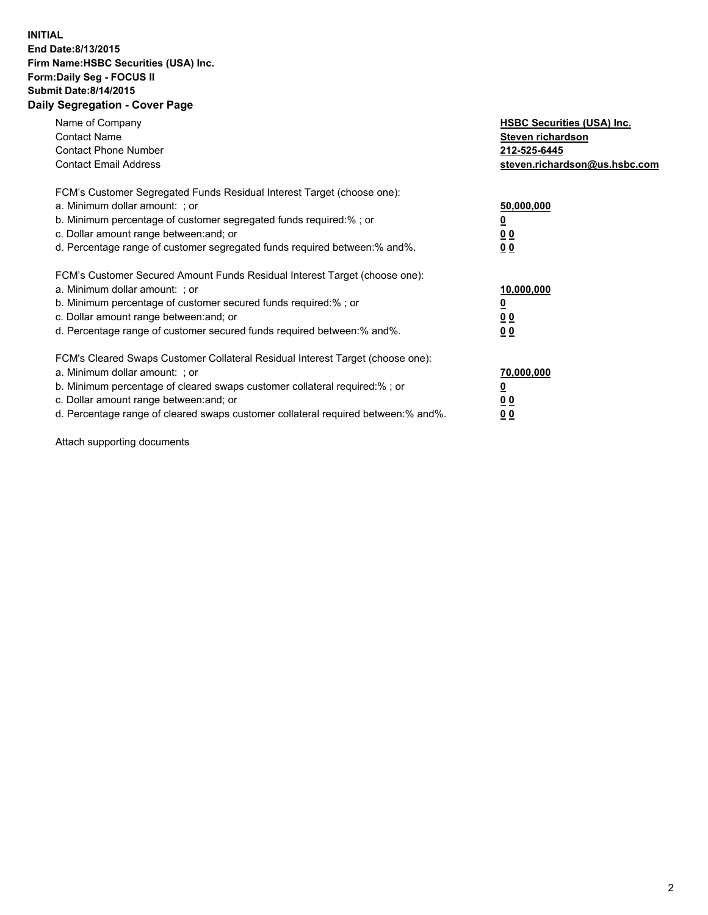## **INITIAL End Date:8/13/2015 Firm Name:HSBC Securities (USA) Inc. Form:Daily Seg - FOCUS II Submit Date:8/14/2015 Daily Segregation - Cover Page**

| Name of Company<br><b>Contact Name</b><br><b>Contact Phone Number</b><br><b>Contact Email Address</b>                                                                                                                                                                                                                          | <b>HSBC Securities (USA) Inc.</b><br>Steven richardson<br>212-525-6445<br>steven.richardson@us.hsbc.com |
|--------------------------------------------------------------------------------------------------------------------------------------------------------------------------------------------------------------------------------------------------------------------------------------------------------------------------------|---------------------------------------------------------------------------------------------------------|
| FCM's Customer Segregated Funds Residual Interest Target (choose one):<br>a. Minimum dollar amount: ; or<br>b. Minimum percentage of customer segregated funds required:%; or<br>c. Dollar amount range between: and; or<br>d. Percentage range of customer segregated funds required between: % and %.                        | 50,000,000<br>0 <sub>0</sub><br>0 <sub>0</sub>                                                          |
| FCM's Customer Secured Amount Funds Residual Interest Target (choose one):<br>a. Minimum dollar amount: ; or<br>b. Minimum percentage of customer secured funds required:%; or<br>c. Dollar amount range between: and; or<br>d. Percentage range of customer secured funds required between:% and%.                            | 10,000,000<br><u>0</u><br>0 <sub>0</sub><br>0 <sub>0</sub>                                              |
| FCM's Cleared Swaps Customer Collateral Residual Interest Target (choose one):<br>a. Minimum dollar amount: ; or<br>b. Minimum percentage of cleared swaps customer collateral required:% ; or<br>c. Dollar amount range between: and; or<br>d. Percentage range of cleared swaps customer collateral required between:% and%. | 70,000,000<br>00<br><u>00</u>                                                                           |

Attach supporting documents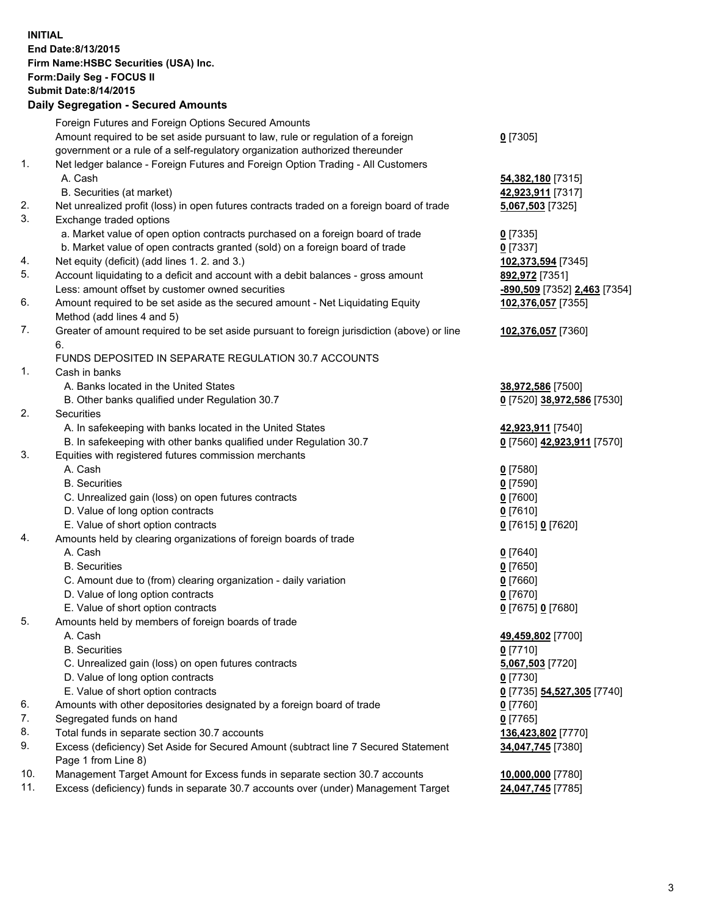**INITIAL End Date:8/13/2015 Firm Name:HSBC Securities (USA) Inc. Form:Daily Seg - FOCUS II Submit Date:8/14/2015 Daily Segregation - Secured Amounts**

Foreign Futures and Foreign Options Secured Amounts Amount required to be set aside pursuant to law, rule or regulation of a foreign government or a rule of a self-regulatory organization authorized thereunder **0** [7305] 1. Net ledger balance - Foreign Futures and Foreign Option Trading - All Customers A. Cash **54,382,180** [7315] B. Securities (at market) **42,923,911** [7317] 2. Net unrealized profit (loss) in open futures contracts traded on a foreign board of trade **5,067,503** [7325] 3. Exchange traded options a. Market value of open option contracts purchased on a foreign board of trade **0** [7335] b. Market value of open contracts granted (sold) on a foreign board of trade **0** [7337] 4. Net equity (deficit) (add lines 1. 2. and 3.) **102,373,594** [7345] 5. Account liquidating to a deficit and account with a debit balances - gross amount **892,972** [7351] Less: amount offset by customer owned securities **-890,509** [7352] **2,463** [7354] 6. Amount required to be set aside as the secured amount - Net Liquidating Equity Method (add lines 4 and 5) **102,376,057** [7355] 7. Greater of amount required to be set aside pursuant to foreign jurisdiction (above) or line 6. **102,376,057** [7360] FUNDS DEPOSITED IN SEPARATE REGULATION 30.7 ACCOUNTS 1. Cash in banks A. Banks located in the United States **38,972,586** [7500] B. Other banks qualified under Regulation 30.7 **0** [7520] **38,972,586** [7530] 2. Securities A. In safekeeping with banks located in the United States **42,923,911** [7540] B. In safekeeping with other banks qualified under Regulation 30.7 **0** [7560] **42,923,911** [7570] 3. Equities with registered futures commission merchants A. Cash **0** [7580] B. Securities **0** [7590] C. Unrealized gain (loss) on open futures contracts **0** [7600] D. Value of long option contracts **0** [7610] E. Value of short option contracts **0** [7615] **0** [7620] 4. Amounts held by clearing organizations of foreign boards of trade A. Cash **0** [7640] B. Securities **0** [7650] C. Amount due to (from) clearing organization - daily variation **0** [7660] D. Value of long option contracts **0** [7670] E. Value of short option contracts **0** [7675] **0** [7680] 5. Amounts held by members of foreign boards of trade A. Cash **49,459,802** [7700] B. Securities **0** [7710] C. Unrealized gain (loss) on open futures contracts **5,067,503** [7720] D. Value of long option contracts **0** [7730] E. Value of short option contracts **0** [7735] **54,527,305** [7740] 6. Amounts with other depositories designated by a foreign board of trade **0** [7760] 7. Segregated funds on hand **0** [7765] 8. Total funds in separate section 30.7 accounts **136,423,802** [7770] 9. Excess (deficiency) Set Aside for Secured Amount (subtract line 7 Secured Statement Page 1 from Line 8) **34,047,745** [7380] 10. Management Target Amount for Excess funds in separate section 30.7 accounts **10,000,000** [7780] 11. Excess (deficiency) funds in separate 30.7 accounts over (under) Management Target **24,047,745** [7785]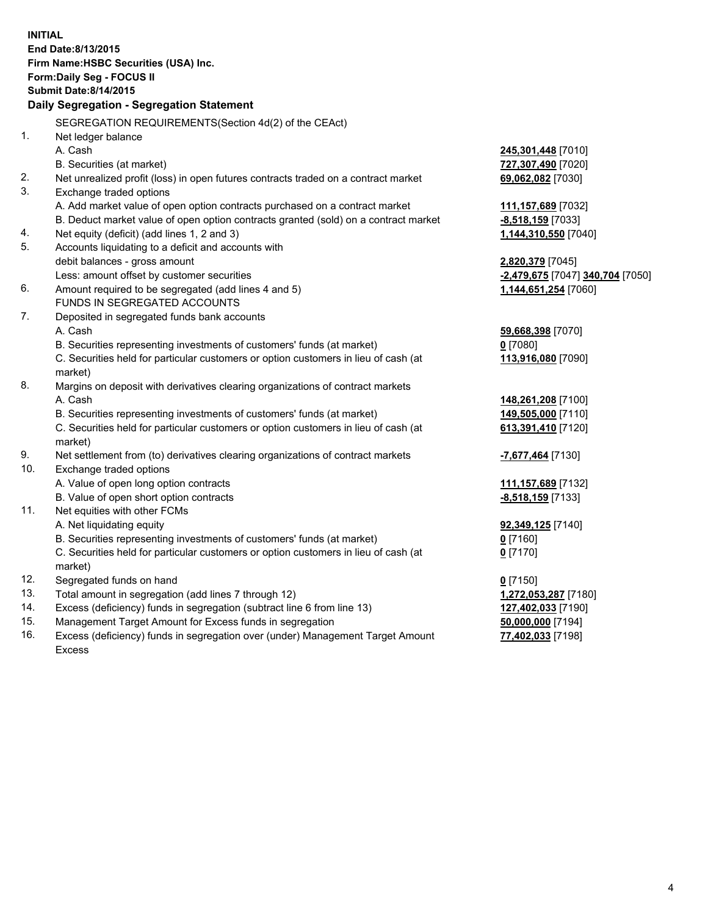| <b>INITIAL</b>                        |                                                                                     |                                  |  |  |  |  |
|---------------------------------------|-------------------------------------------------------------------------------------|----------------------------------|--|--|--|--|
| End Date: 8/13/2015                   |                                                                                     |                                  |  |  |  |  |
| Firm Name: HSBC Securities (USA) Inc. |                                                                                     |                                  |  |  |  |  |
| Form: Daily Seg - FOCUS II            |                                                                                     |                                  |  |  |  |  |
|                                       | <b>Submit Date: 8/14/2015</b>                                                       |                                  |  |  |  |  |
|                                       | Daily Segregation - Segregation Statement                                           |                                  |  |  |  |  |
|                                       | SEGREGATION REQUIREMENTS(Section 4d(2) of the CEAct)                                |                                  |  |  |  |  |
| 1.                                    | Net ledger balance                                                                  |                                  |  |  |  |  |
|                                       | A. Cash                                                                             | 245,301,448 [7010]               |  |  |  |  |
|                                       | B. Securities (at market)                                                           | 727,307,490 [7020]               |  |  |  |  |
| 2.                                    | Net unrealized profit (loss) in open futures contracts traded on a contract market  | 69,062,082 [7030]                |  |  |  |  |
| 3.                                    | Exchange traded options                                                             |                                  |  |  |  |  |
|                                       | A. Add market value of open option contracts purchased on a contract market         | 111,157,689 [7032]               |  |  |  |  |
|                                       | B. Deduct market value of open option contracts granted (sold) on a contract market | -8,518,159 [7033]                |  |  |  |  |
| 4.                                    | Net equity (deficit) (add lines 1, 2 and 3)                                         | 1,144,310,550 [7040]             |  |  |  |  |
| 5.                                    | Accounts liquidating to a deficit and accounts with                                 |                                  |  |  |  |  |
|                                       | debit balances - gross amount                                                       | 2,820,379 [7045]                 |  |  |  |  |
|                                       | Less: amount offset by customer securities                                          | -2,479,675 [7047] 340,704 [7050] |  |  |  |  |
| 6.                                    | Amount required to be segregated (add lines 4 and 5)                                | 1,144,651,254 [7060]             |  |  |  |  |
|                                       | FUNDS IN SEGREGATED ACCOUNTS                                                        |                                  |  |  |  |  |
| 7.                                    | Deposited in segregated funds bank accounts                                         |                                  |  |  |  |  |
|                                       | A. Cash                                                                             | 59,668,398 [7070]                |  |  |  |  |
|                                       | B. Securities representing investments of customers' funds (at market)              | $0$ [7080]                       |  |  |  |  |
|                                       | C. Securities held for particular customers or option customers in lieu of cash (at | 113,916,080 [7090]               |  |  |  |  |
|                                       | market)                                                                             |                                  |  |  |  |  |
| 8.                                    | Margins on deposit with derivatives clearing organizations of contract markets      |                                  |  |  |  |  |
|                                       | A. Cash                                                                             | 148,261,208 [7100]               |  |  |  |  |
|                                       | B. Securities representing investments of customers' funds (at market)              | 149,505,000 [7110]               |  |  |  |  |
|                                       | C. Securities held for particular customers or option customers in lieu of cash (at | 613,391,410 [7120]               |  |  |  |  |
|                                       | market)                                                                             |                                  |  |  |  |  |
| 9.                                    | Net settlement from (to) derivatives clearing organizations of contract markets     | <mark>-7,677,464</mark> [7130]   |  |  |  |  |
| 10.                                   | Exchange traded options                                                             |                                  |  |  |  |  |
|                                       | A. Value of open long option contracts<br>B. Value of open short option contracts   | 111,157,689 [7132]               |  |  |  |  |
| 11.                                   | Net equities with other FCMs                                                        | -8,518,159 [7133]                |  |  |  |  |
|                                       | A. Net liquidating equity                                                           | 92,349,125 [7140]                |  |  |  |  |
|                                       | B. Securities representing investments of customers' funds (at market)              | $0$ [7160]                       |  |  |  |  |
|                                       | C. Securities held for particular customers or option customers in lieu of cash (at | $0$ [7170]                       |  |  |  |  |
|                                       | market)                                                                             |                                  |  |  |  |  |
| 12.                                   | Segregated funds on hand                                                            | $0$ [7150]                       |  |  |  |  |
| 13.                                   | Total amount in segregation (add lines 7 through 12)                                | 1,272,053,287 [7180]             |  |  |  |  |
| 14.                                   | Excess (deficiency) funds in segregation (subtract line 6 from line 13)             | 127,402,033 [7190]               |  |  |  |  |
| 15.                                   | Management Target Amount for Excess funds in segregation                            | 50,000,000 [7194]                |  |  |  |  |
| 16.                                   | Excess (deficiency) funds in segregation over (under) Management Target Amount      | 77,402,033 [7198]                |  |  |  |  |

16. Excess (deficiency) funds in segregation over (under) Management Target Amount Excess